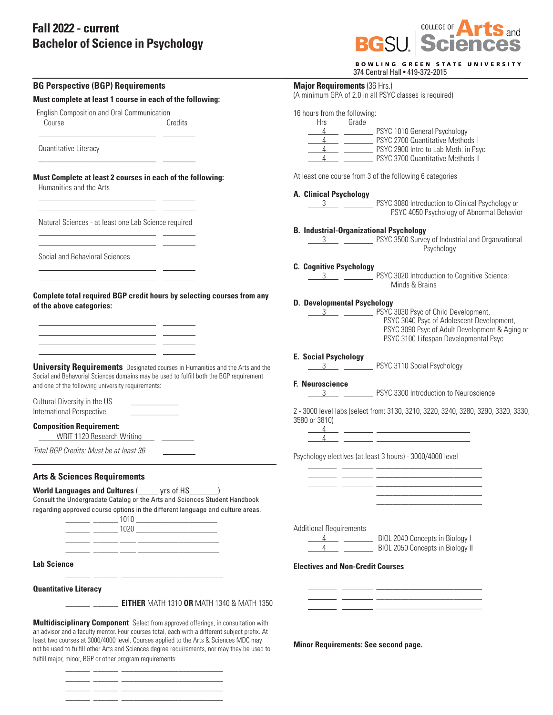## **Fall 2022 - current Bachelor of Science in Psychology**



**BOWLING GREEN STATE UNIVERSITY** 374 Central Hall • 419-372-2015

| aior Requirements (36 Hrs.) |  |  |  |
|-----------------------------|--|--|--|
|                             |  |  |  |

| <b>BG Perspective (BGP) Requirements</b>                                                                                                                                                                                                                                                                                                                                                                                                                                                                                                                                                                                                                                                             | <b>Major Requirements (36 Hrs.)</b>                                                                                                                                                                                                                                                                                                                                                                                                                                                                                                                                                            |  |  |  |  |
|------------------------------------------------------------------------------------------------------------------------------------------------------------------------------------------------------------------------------------------------------------------------------------------------------------------------------------------------------------------------------------------------------------------------------------------------------------------------------------------------------------------------------------------------------------------------------------------------------------------------------------------------------------------------------------------------------|------------------------------------------------------------------------------------------------------------------------------------------------------------------------------------------------------------------------------------------------------------------------------------------------------------------------------------------------------------------------------------------------------------------------------------------------------------------------------------------------------------------------------------------------------------------------------------------------|--|--|--|--|
| Must complete at least 1 course in each of the following:                                                                                                                                                                                                                                                                                                                                                                                                                                                                                                                                                                                                                                            | (A minimum GPA of 2.0 in all PSYC classes is required)                                                                                                                                                                                                                                                                                                                                                                                                                                                                                                                                         |  |  |  |  |
| English Composition and Oral Communication<br>Course<br>Credits                                                                                                                                                                                                                                                                                                                                                                                                                                                                                                                                                                                                                                      | 16 hours from the following:<br>Hrs<br>Grade<br>4 PSYC 1010 General Psychology                                                                                                                                                                                                                                                                                                                                                                                                                                                                                                                 |  |  |  |  |
| Quantitative Literacy                                                                                                                                                                                                                                                                                                                                                                                                                                                                                                                                                                                                                                                                                | 4 PSYC 2700 Quantitative Methods I<br>4 PSYC 2900 Intro to Lab Meth. in Psyc.<br>PSYC 3700 Quantitative Methods II<br>$\overline{4}$                                                                                                                                                                                                                                                                                                                                                                                                                                                           |  |  |  |  |
| Must Complete at least 2 courses in each of the following:<br>Humanities and the Arts                                                                                                                                                                                                                                                                                                                                                                                                                                                                                                                                                                                                                | At least one course from 3 of the following 6 categories                                                                                                                                                                                                                                                                                                                                                                                                                                                                                                                                       |  |  |  |  |
| the control of the control of the control of the control of the control of the control of                                                                                                                                                                                                                                                                                                                                                                                                                                                                                                                                                                                                            | A. Clinical Psychology<br>3 PSYC 3080 Introduction to Clinical Psychology or<br>PSYC 4050 Psychology of Abnormal Behavior                                                                                                                                                                                                                                                                                                                                                                                                                                                                      |  |  |  |  |
| Natural Sciences - at least one Lab Science required<br><u> 1989 - Johann Barn, mars eta idazlear (h. 1982).</u>                                                                                                                                                                                                                                                                                                                                                                                                                                                                                                                                                                                     | <b>B. Industrial-Organizational Psychology</b><br>3 PSYC 3500 Survey of Industrial and Organzational                                                                                                                                                                                                                                                                                                                                                                                                                                                                                           |  |  |  |  |
| Social and Behavioral Sciences                                                                                                                                                                                                                                                                                                                                                                                                                                                                                                                                                                                                                                                                       | Psychology                                                                                                                                                                                                                                                                                                                                                                                                                                                                                                                                                                                     |  |  |  |  |
| <u> 1989 - Johann Barn, mars ann an t-Amhain an t-Amhain an t-Amhain an t-Amhain an t-Amhain an t-Amhain an t-Amh</u>                                                                                                                                                                                                                                                                                                                                                                                                                                                                                                                                                                                | <b>C. Cognitive Psychology</b><br>3 PSYC 3020 Introduction to Cognitive Science:<br>Minds & Brains                                                                                                                                                                                                                                                                                                                                                                                                                                                                                             |  |  |  |  |
| Complete total required BGP credit hours by selecting courses from any<br>of the above categories:<br><u> 1989 - Johann Barn, mars eta bainar eta idazlea (h. 1989).</u>                                                                                                                                                                                                                                                                                                                                                                                                                                                                                                                             | <b>D. Developmental Psychology</b><br>3 PSYC 3030 Psyc of Child Development,<br>PSYC 3040 Psyc of Adolescent Development,<br>PSYC 3090 Psyc of Adult Development & Aging or<br>PSYC 3100 Lifespan Developmental Psyc                                                                                                                                                                                                                                                                                                                                                                           |  |  |  |  |
| <b>University Requirements</b> Designated courses in Humanities and the Arts and the<br>Social and Behavorial Sciences domains may be used to fulfill both the BGP requirement<br>and one of the following university requirements:                                                                                                                                                                                                                                                                                                                                                                                                                                                                  | <b>E. Social Psychology</b><br>$3 \frac{1}{2}$<br>PSYC 3110 Social Psychology<br>F. Neuroscience                                                                                                                                                                                                                                                                                                                                                                                                                                                                                               |  |  |  |  |
| Cultural Diversity in the US                                                                                                                                                                                                                                                                                                                                                                                                                                                                                                                                                                                                                                                                         | 3 <sup>1</sup><br>PSYC 3300 Introduction to Neuroscience                                                                                                                                                                                                                                                                                                                                                                                                                                                                                                                                       |  |  |  |  |
| International Perspective<br><b>Composition Requirement:</b>                                                                                                                                                                                                                                                                                                                                                                                                                                                                                                                                                                                                                                         | 2 - 3000 level labs (select from: 3130, 3210, 3220, 3240, 3280, 3290, 3320, 3330,<br>3580 or 3810)                                                                                                                                                                                                                                                                                                                                                                                                                                                                                             |  |  |  |  |
| WRIT 1120 Research Writing ___________                                                                                                                                                                                                                                                                                                                                                                                                                                                                                                                                                                                                                                                               | $\frac{4}{1}$ and $\frac{4}{1}$ and $\frac{4}{1}$ and $\frac{4}{1}$ and $\frac{4}{1}$ and $\frac{4}{1}$ and $\frac{4}{1}$ and $\frac{4}{1}$ and $\frac{4}{1}$ and $\frac{4}{1}$ and $\frac{4}{1}$ and $\frac{4}{1}$ and $\frac{4}{1}$ and $\frac{4}{1}$ and $\frac{4}{1}$ and $\frac{4}{1}$ a<br>$\frac{4}{2}$ and $\frac{1}{2}$ and $\frac{1}{2}$ and $\frac{1}{2}$ and $\frac{1}{2}$ and $\frac{1}{2}$ and $\frac{1}{2}$ and $\frac{1}{2}$ and $\frac{1}{2}$ and $\frac{1}{2}$ and $\frac{1}{2}$ and $\frac{1}{2}$ and $\frac{1}{2}$ and $\frac{1}{2}$ and $\frac{1}{2}$ and $\frac{1}{2}$ a |  |  |  |  |
| Total BGP Credits: Must be at least 36                                                                                                                                                                                                                                                                                                                                                                                                                                                                                                                                                                                                                                                               | Psychology electives (at least 3 hours) - 3000/4000 level                                                                                                                                                                                                                                                                                                                                                                                                                                                                                                                                      |  |  |  |  |
| <b>Arts &amp; Sciences Requirements</b>                                                                                                                                                                                                                                                                                                                                                                                                                                                                                                                                                                                                                                                              |                                                                                                                                                                                                                                                                                                                                                                                                                                                                                                                                                                                                |  |  |  |  |
| World Languages and Cultures (Changles of HS<br>Consult the Undergradate Catalog or the Arts and Sciences Student Handbook<br>regarding approved course options in the different language and culture areas.<br>$\begin{tabular}{c} \multicolumn{2}{c} {\textbf{1010}} \end{tabular} \begin{tabular}{c} \multicolumn{2}{c} {\textbf{1010}} \end{tabular} \begin{tabular}{c} \multicolumn{2}{c} {\textbf{1010}} \end{tabular} \begin{tabular}{c} \multicolumn{2}{c} {\textbf{1010}} \end{tabular} \begin{tabular}{c} \multicolumn{2}{c} {\textbf{1010}} \end{tabular} \begin{tabular}{c} \multicolumn{2}{c} {\textbf{1010}} \end{tabular} \begin{tabular}{c} \multicolumn{2}{c} {\textbf{1010}} \end$ |                                                                                                                                                                                                                                                                                                                                                                                                                                                                                                                                                                                                |  |  |  |  |
|                                                                                                                                                                                                                                                                                                                                                                                                                                                                                                                                                                                                                                                                                                      | <b>Additional Requirements</b><br>$\frac{4}{\sqrt{2}}$<br>BIOL 2040 Concepts in Biology I<br>BIOL 2050 Concepts in Biology II                                                                                                                                                                                                                                                                                                                                                                                                                                                                  |  |  |  |  |
| <b>Lab Science</b>                                                                                                                                                                                                                                                                                                                                                                                                                                                                                                                                                                                                                                                                                   | <b>Electives and Non-Credit Courses</b>                                                                                                                                                                                                                                                                                                                                                                                                                                                                                                                                                        |  |  |  |  |
| <b>Quantitative Literacy</b><br><b>EITHER MATH 1310 OR MATH 1340 &amp; MATH 1350</b>                                                                                                                                                                                                                                                                                                                                                                                                                                                                                                                                                                                                                 |                                                                                                                                                                                                                                                                                                                                                                                                                                                                                                                                                                                                |  |  |  |  |
| Multidisciplinary Component Select from approved offerings, in consultation with<br>an advisor and a faculty mentor. Four courses total, each with a different subject prefix. At<br>least two courses at 3000/4000 level. Courses applied to the Arts & Sciences MDC may<br>not be used to fulfill other Arts and Sciences degree requirements, nor may they be used to                                                                                                                                                                                                                                                                                                                             | Minor Requirements: See second page.                                                                                                                                                                                                                                                                                                                                                                                                                                                                                                                                                           |  |  |  |  |

\_\_\_\_\_\_ \_\_\_\_\_\_ \_\_\_\_\_\_\_\_\_\_\_\_\_\_\_\_\_\_\_\_\_\_\_\_\_  $\overline{\phantom{a}}$  , and the set of the set of the set of the set of the set of the set of the set of the set of the set of the set of the set of the set of the set of the set of the set of the set of the set of the set of the s \_\_\_\_\_\_ \_\_\_\_\_\_ \_\_\_\_\_\_\_\_\_\_\_\_\_\_\_\_\_\_\_\_\_\_\_\_\_ \_\_\_\_\_\_ \_\_\_\_\_\_ \_\_\_\_\_\_\_\_\_\_\_\_\_\_\_\_\_\_\_\_\_\_\_\_\_

fulfill major, minor, BGP or other program requirements.